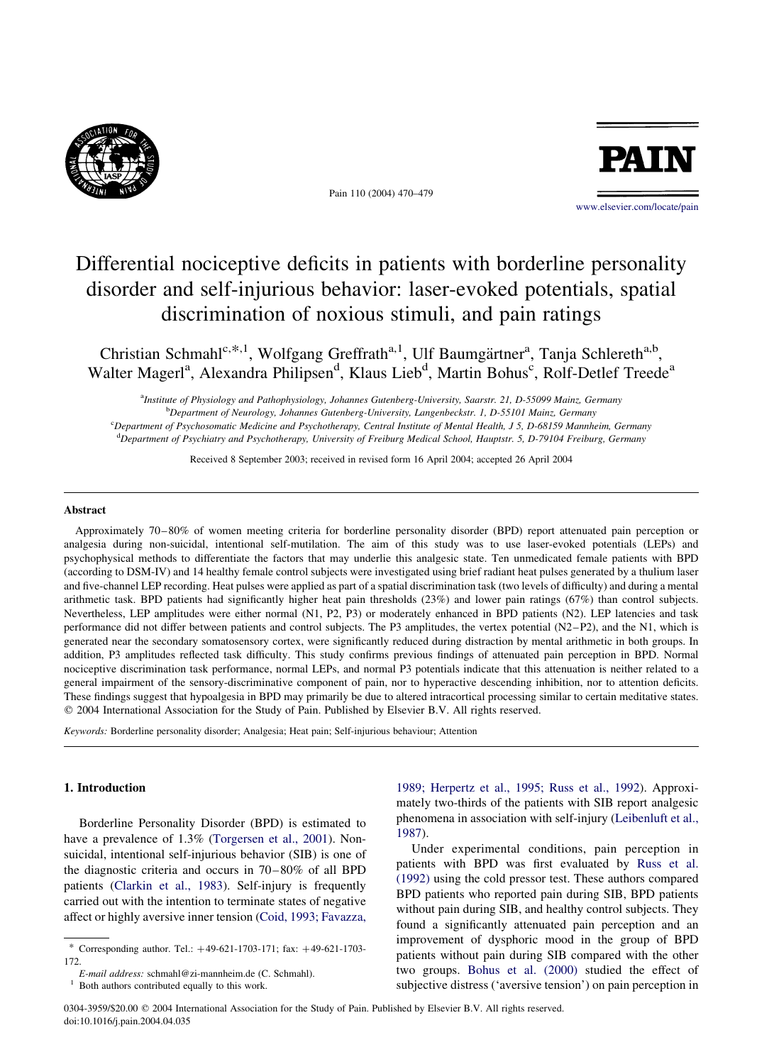

Pain 110 (2004) 470–479



[www.elsevier.com/locate/pain](http://www.elsevier.com/locate/pain)

# Differential nociceptive deficits in patients with borderline personality disorder and self-injurious behavior: laser-evoked potentials, spatial discrimination of noxious stimuli, and pain ratings

Christian Schmahl<sup>c,\*,1</sup>, Wolfgang Greffrath<sup>a,1</sup>, Ulf Baumgärtner<sup>a</sup>, Tanja Schlereth<sup>a,b</sup>, Walter Magerl<sup>a</sup>, Alexandra Philipsen<sup>d</sup>, Klaus Lieb<sup>d</sup>, Martin Bohus<sup>c</sup>, Rolf-Detlef Treede<sup>a</sup>

a Institute of Physiology and Pathophysiology, Johannes Gutenberg-University, Saarstr. 21, D-55099 Mainz, Germany <sup>b</sup>Department of Neurology, Johannes Gutenberg-University, Langenbeckstr. 1, D-55101 Mainz, Germany

c Department of Psychosomatic Medicine and Psychotherapy, Central Institute of Mental Health, J 5, D-68159 Mannheim, Germany d Department of Psychiatry and Psychotherapy, University of Freiburg Medical School, Hauptstr. 5, D-79104 Freiburg, Germany

Received 8 September 2003; received in revised form 16 April 2004; accepted 26 April 2004

#### Abstract

Approximately 70–80% of women meeting criteria for borderline personality disorder (BPD) report attenuated pain perception or analgesia during non-suicidal, intentional self-mutilation. The aim of this study was to use laser-evoked potentials (LEPs) and psychophysical methods to differentiate the factors that may underlie this analgesic state. Ten unmedicated female patients with BPD (according to DSM-IV) and 14 healthy female control subjects were investigated using brief radiant heat pulses generated by a thulium laser and five-channel LEP recording. Heat pulses were applied as part of a spatial discrimination task (two levels of difficulty) and during a mental arithmetic task. BPD patients had significantly higher heat pain thresholds (23%) and lower pain ratings (67%) than control subjects. Nevertheless, LEP amplitudes were either normal (N1, P2, P3) or moderately enhanced in BPD patients (N2). LEP latencies and task performance did not differ between patients and control subjects. The P3 amplitudes, the vertex potential (N2–P2), and the N1, which is generated near the secondary somatosensory cortex, were significantly reduced during distraction by mental arithmetic in both groups. In addition, P3 amplitudes reflected task difficulty. This study confirms previous findings of attenuated pain perception in BPD. Normal nociceptive discrimination task performance, normal LEPs, and normal P3 potentials indicate that this attenuation is neither related to a general impairment of the sensory-discriminative component of pain, nor to hyperactive descending inhibition, nor to attention deficits. These findings suggest that hypoalgesia in BPD may primarily be due to altered intracortical processing similar to certain meditative states.  $© 2004 International Association for the Study of Pain. Published by Elsevier B.V. All rights reserved.$ 

Keywords: Borderline personality disorder; Analgesia; Heat pain; Self-injurious behaviour; Attention

### 1. Introduction

Borderline Personality Disorder (BPD) is estimated to have a prevalence of 1.3% [\(Torgersen et al., 2001\)](#page--1-0). Nonsuicidal, intentional self-injurious behavior (SIB) is one of the diagnostic criteria and occurs in 70–80% of all BPD patients ([Clarkin et al., 1983](#page--1-0)). Self-injury is frequently carried out with the intention to terminate states of negative affect or highly aversive inner tension ([Coid, 1993; Favazza,](#page--1-0)

 $1$  Both authors contributed equally to this work.

[1989; Herpertz et al., 1995; Russ et al., 1992](#page--1-0)). Approximately two-thirds of the patients with SIB report analgesic phenomena in association with self-injury ([Leibenluft et al.,](#page--1-0) [1987\)](#page--1-0).

Under experimental conditions, pain perception in patients with BPD was first evaluated by [Russ et al.](#page--1-0) [\(1992\)](#page--1-0) using the cold pressor test. These authors compared BPD patients who reported pain during SIB, BPD patients without pain during SIB, and healthy control subjects. They found a significantly attenuated pain perception and an improvement of dysphoric mood in the group of BPD patients without pain during SIB compared with the other two groups. [Bohus et al. \(2000\)](#page--1-0) studied the effect of subjective distress ('aversive tension') on pain perception in

<sup>\*</sup> Corresponding author. Tel.: þ49-621-1703-171; fax: þ49-621-1703- 172.

E-mail address: schmahl@zi-mannheim.de (C. Schmahl).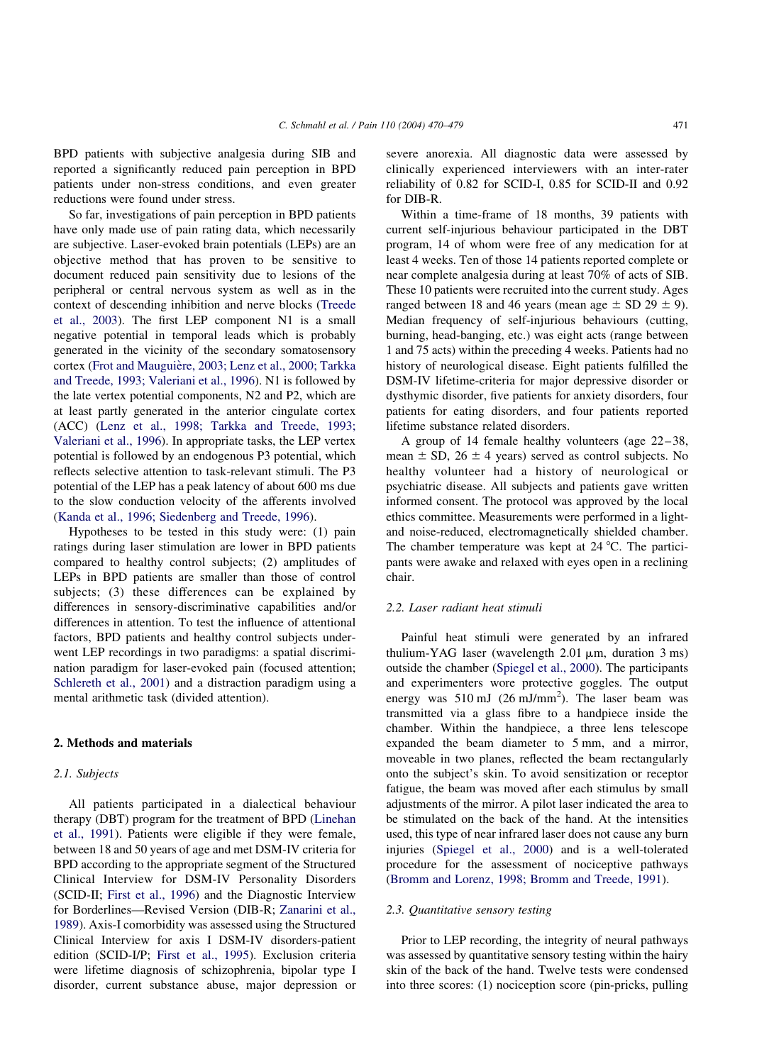BPD patients with subjective analgesia during SIB and reported a significantly reduced pain perception in BPD patients under non-stress conditions, and even greater reductions were found under stress.

So far, investigations of pain perception in BPD patients have only made use of pain rating data, which necessarily are subjective. Laser-evoked brain potentials (LEPs) are an objective method that has proven to be sensitive to document reduced pain sensitivity due to lesions of the peripheral or central nervous system as well as in the context of descending inhibition and nerve blocks ([Treede](#page--1-0) [et al., 2003](#page--1-0)). The first LEP component N1 is a small negative potential in temporal leads which is probably generated in the vicinity of the secondary somatosensory cortex (Frot and Mauguière, 2003; Lenz et al., 2000; Tarkka [and Treede, 1993; Valeriani et al., 1996\)](#page--1-0). N1 is followed by the late vertex potential components, N2 and P2, which are at least partly generated in the anterior cingulate cortex (ACC) [\(Lenz et al., 1998; Tarkka and Treede, 1993;](#page--1-0) [Valeriani et al., 1996\)](#page--1-0). In appropriate tasks, the LEP vertex potential is followed by an endogenous P3 potential, which reflects selective attention to task-relevant stimuli. The P3 potential of the LEP has a peak latency of about 600 ms due to the slow conduction velocity of the afferents involved ([Kanda et al., 1996; Siedenberg and Treede, 1996\)](#page--1-0).

Hypotheses to be tested in this study were: (1) pain ratings during laser stimulation are lower in BPD patients compared to healthy control subjects; (2) amplitudes of LEPs in BPD patients are smaller than those of control subjects; (3) these differences can be explained by differences in sensory-discriminative capabilities and/or differences in attention. To test the influence of attentional factors, BPD patients and healthy control subjects underwent LEP recordings in two paradigms: a spatial discrimination paradigm for laser-evoked pain (focused attention; [Schlereth et al., 2001\)](#page--1-0) and a distraction paradigm using a mental arithmetic task (divided attention).

#### 2. Methods and materials

#### 2.1. Subjects

All patients participated in a dialectical behaviour therapy (DBT) program for the treatment of BPD ([Linehan](#page--1-0) [et al., 1991\)](#page--1-0). Patients were eligible if they were female, between 18 and 50 years of age and met DSM-IV criteria for BPD according to the appropriate segment of the Structured Clinical Interview for DSM-IV Personality Disorders (SCID-II; [First et al., 1996](#page--1-0)) and the Diagnostic Interview for Borderlines—Revised Version (DIB-R; [Zanarini et al.,](#page--1-0) [1989](#page--1-0)). Axis-I comorbidity was assessed using the Structured Clinical Interview for axis I DSM-IV disorders-patient edition (SCID-I/P; [First et al., 1995](#page--1-0)). Exclusion criteria were lifetime diagnosis of schizophrenia, bipolar type I disorder, current substance abuse, major depression or

severe anorexia. All diagnostic data were assessed by clinically experienced interviewers with an inter-rater reliability of 0.82 for SCID-I, 0.85 for SCID-II and 0.92 for DIB-R.

Within a time-frame of 18 months, 39 patients with current self-injurious behaviour participated in the DBT program, 14 of whom were free of any medication for at least 4 weeks. Ten of those 14 patients reported complete or near complete analgesia during at least 70% of acts of SIB. These 10 patients were recruited into the current study. Ages ranged between 18 and 46 years (mean age  $\pm$  SD 29  $\pm$  9). Median frequency of self-injurious behaviours (cutting, burning, head-banging, etc.) was eight acts (range between 1 and 75 acts) within the preceding 4 weeks. Patients had no history of neurological disease. Eight patients fulfilled the DSM-IV lifetime-criteria for major depressive disorder or dysthymic disorder, five patients for anxiety disorders, four patients for eating disorders, and four patients reported lifetime substance related disorders.

A group of 14 female healthy volunteers (age 22–38, mean  $\pm$  SD, 26  $\pm$  4 years) served as control subjects. No healthy volunteer had a history of neurological or psychiatric disease. All subjects and patients gave written informed consent. The protocol was approved by the local ethics committee. Measurements were performed in a lightand noise-reduced, electromagnetically shielded chamber. The chamber temperature was kept at  $24 \degree C$ . The participants were awake and relaxed with eyes open in a reclining chair.

## 2.2. Laser radiant heat stimuli

Painful heat stimuli were generated by an infrared thulium-YAG laser (wavelength  $2.01 \mu m$ , duration  $3 \text{ ms}$ ) outside the chamber ([Spiegel et al., 2000\)](#page--1-0). The participants and experimenters wore protective goggles. The output energy was  $510 \text{ mJ}$  (26 mJ/mm<sup>2</sup>). The laser beam was transmitted via a glass fibre to a handpiece inside the chamber. Within the handpiece, a three lens telescope expanded the beam diameter to 5 mm, and a mirror, moveable in two planes, reflected the beam rectangularly onto the subject's skin. To avoid sensitization or receptor fatigue, the beam was moved after each stimulus by small adjustments of the mirror. A pilot laser indicated the area to be stimulated on the back of the hand. At the intensities used, this type of near infrared laser does not cause any burn injuries [\(Spiegel et al., 2000](#page--1-0)) and is a well-tolerated procedure for the assessment of nociceptive pathways ([Bromm and Lorenz, 1998; Bromm and Treede, 1991\)](#page--1-0).

#### 2.3. Quantitative sensory testing

Prior to LEP recording, the integrity of neural pathways was assessed by quantitative sensory testing within the hairy skin of the back of the hand. Twelve tests were condensed into three scores: (1) nociception score (pin-pricks, pulling